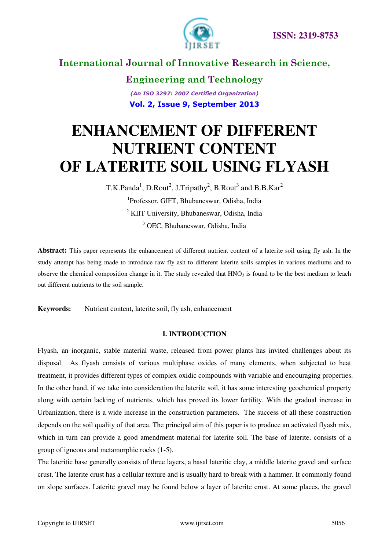

**Engineering and Technology** *(An ISO 3297: 2007 Certified Organization)*  **Vol. 2, Issue 9, September 2013**

# **ENHANCEMENT OF DIFFERENT NUTRIENT CONTENT OF LATERITE SOIL USING FLYASH**

T.K.Panda<sup>1</sup>, D.Rout<sup>2</sup>, J.Tripathy<sup>2</sup>, B.Rout<sup>3</sup> and B.B.Kar<sup>2</sup> Professor, GIFT, Bhubaneswar, Odisha, India KIIT University, Bhubaneswar, Odisha, India OEC, Bhubaneswar, Odisha, India

**Abstract:** This paper represents the enhancement of different nutrient content of a laterite soil using fly ash. In the study attempt has being made to introduce raw fly ash to different laterite soils samples in various mediums and to observe the chemical composition change in it. The study revealed that  $HNO<sub>3</sub>$  is found to be the best medium to leach out different nutrients to the soil sample.

**Keywords:** Nutrient content, laterite soil, fly ash, enhancement

#### **I. INTRODUCTION**

Flyash, an inorganic, stable material waste, released from power plants has invited challenges about its disposal. As flyash consists of various multiphase oxides of many elements, when subjected to heat treatment, it provides different types of complex oxidic compounds with variable and encouraging properties. In the other hand, if we take into consideration the laterite soil, it has some interesting geochemical property along with certain lacking of nutrients, which has proved its lower fertility. With the gradual increase in Urbanization, there is a wide increase in the construction parameters. The success of all these construction depends on the soil quality of that area. The principal aim of this paper is to produce an activated flyash mix, which in turn can provide a good amendment material for laterite soil. The base of laterite, consists of a group of igneous and metamorphic rocks (1-5).

The lateritic base generally consists of three layers, a basal lateritic clay, a middle laterite gravel and surface crust. The laterite crust has a cellular texture and is usually hard to break with a hammer. It commonly found on slope surfaces. Laterite gravel may be found below a layer of laterite crust. At some places, the gravel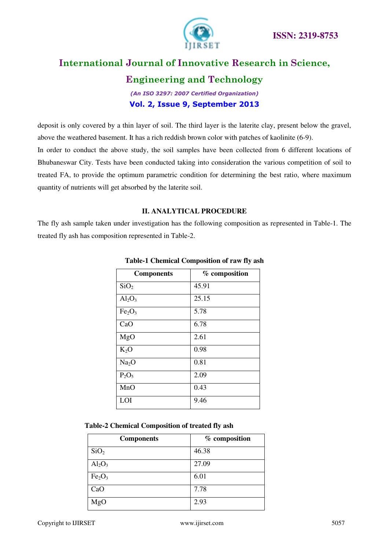

### **Engineering and Technology**

*(An ISO 3297: 2007 Certified Organization)*  **Vol. 2, Issue 9, September 2013**

deposit is only covered by a thin layer of soil. The third layer is the laterite clay, present below the gravel, above the weathered basement. It has a rich reddish brown color with patches of kaolinite (6-9). In order to conduct the above study, the soil samples have been collected from 6 different locations of Bhubaneswar City. Tests have been conducted taking into consideration the various competition of soil to treated FA, to provide the optimum parametric condition for determining the best ratio, where maximum quantity of nutrients will get absorbed by the laterite soil.

### **II. ANALYTICAL PROCEDURE**

The fly ash sample taken under investigation has the following composition as represented in Table-1. The treated fly ash has composition represented in Table-2.

| <b>Components</b>              | % composition |
|--------------------------------|---------------|
| SiO <sub>2</sub>               | 45.91         |
| $Al_2O_3$                      | 25.15         |
| Fe <sub>2</sub> O <sub>3</sub> | 5.78          |
| CaO                            | 6.78          |
| MgO                            | 2.61          |
| $K_2O$                         | 0.98          |
| Na <sub>2</sub> O              | 0.81          |
| $P_2O_5$                       | 2.09          |
| MnO                            | 0.43          |
| LOI                            | 9.46          |

#### **Table-1 Chemical Composition of raw fly ash**

| Table-2 Chemical Composition of treated fly ash |  |  |  |
|-------------------------------------------------|--|--|--|
|-------------------------------------------------|--|--|--|

| <b>Components</b>              | % composition |
|--------------------------------|---------------|
| SiO <sub>2</sub>               | 46.38         |
| $Al_2O_3$                      | 27.09         |
| Fe <sub>2</sub> O <sub>3</sub> | 6.01          |
| CaO                            | 7.78          |
| MgO                            | 2.93          |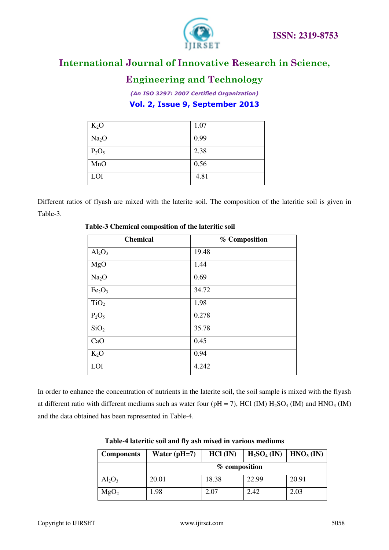



### **Engineering and Technology**

*(An ISO 3297: 2007 Certified Organization)*  **Vol. 2, Issue 9, September 2013**

| $K_2O$            | 1.07 |
|-------------------|------|
| Na <sub>2</sub> O | 0.99 |
| $P_2O_5$          | 2.38 |
| MnO               | 0.56 |
| LOI               | 4.81 |

Different ratios of flyash are mixed with the laterite soil. The composition of the lateritic soil is given in Table-3.

| <b>Chemical</b>                | % Composition |
|--------------------------------|---------------|
| $Al_2O_3$                      | 19.48         |
| MgO                            | 1.44          |
| Na <sub>2</sub> O              | 0.69          |
| Fe <sub>2</sub> O <sub>3</sub> | 34.72         |
| TiO <sub>2</sub>               | 1.98          |
| $P_2O_5$                       | 0.278         |
| SiO <sub>2</sub>               | 35.78         |
| CaO                            | 0.45          |
| $K_2O$                         | 0.94          |
| LOI                            | 4.242         |

#### **Table-3 Chemical composition of the lateritic soil**

In order to enhance the concentration of nutrients in the laterite soil, the soil sample is mixed with the flyash at different ratio with different mediums such as water four ( $pH = 7$ ), HCl (IM)  $H_2SO_4$  (IM) and HNO<sub>3</sub> (IM) and the data obtained has been represented in Table-4.

| <b>Components</b> | Water $(pH=7)$  | $HCl$ (IN) | $H_2SO_4$ (IN)   HNO <sub>3</sub> (IN) |       |
|-------------------|-----------------|------------|----------------------------------------|-------|
|                   | $%$ composition |            |                                        |       |
| $Al_2O_3$         | 20.01           | 18.38      | 22.99                                  | 20.91 |
| MgO <sub>2</sub>  | 1.98            | 2.07       | 2.42                                   | 2.03  |

**Table-4 lateritic soil and fly ash mixed in various mediums**